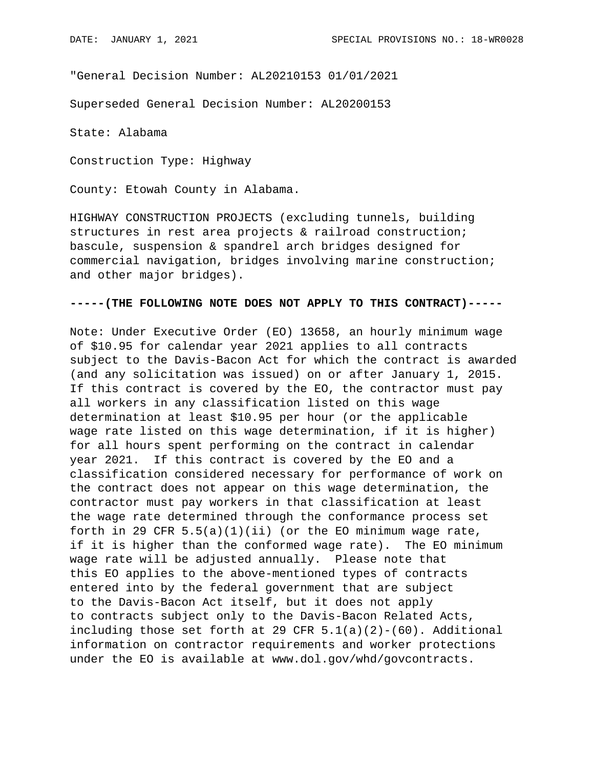"General Decision Number: AL20210153 01/01/2021

Superseded General Decision Number: AL20200153

State: Alabama

Construction Type: Highway

County: Etowah County in Alabama.

HIGHWAY CONSTRUCTION PROJECTS (excluding tunnels, building structures in rest area projects & railroad construction; bascule, suspension & spandrel arch bridges designed for commercial navigation, bridges involving marine construction; and other major bridges).

## **-----(THE FOLLOWING NOTE DOES NOT APPLY TO THIS CONTRACT)-----**

Note: Under Executive Order (EO) 13658, an hourly minimum wage of \$10.95 for calendar year 2021 applies to all contracts subject to the Davis-Bacon Act for which the contract is awarded (and any solicitation was issued) on or after January 1, 2015. If this contract is covered by the EO, the contractor must pay all workers in any classification listed on this wage determination at least \$10.95 per hour (or the applicable wage rate listed on this wage determination, if it is higher) for all hours spent performing on the contract in calendar year 2021. If this contract is covered by the EO and a classification considered necessary for performance of work on the contract does not appear on this wage determination, the contractor must pay workers in that classification at least the wage rate determined through the conformance process set forth in 29 CFR  $5.5(a)(1)(ii)$  (or the EO minimum wage rate, if it is higher than the conformed wage rate). The EO minimum wage rate will be adjusted annually. Please note that this EO applies to the above-mentioned types of contracts entered into by the federal government that are subject to the Davis-Bacon Act itself, but it does not apply to contracts subject only to the Davis-Bacon Related Acts, including those set forth at 29 CFR  $5.1(a)(2)-(60)$ . Additional information on contractor requirements and worker protections under the EO is available at www.dol.gov/whd/govcontracts.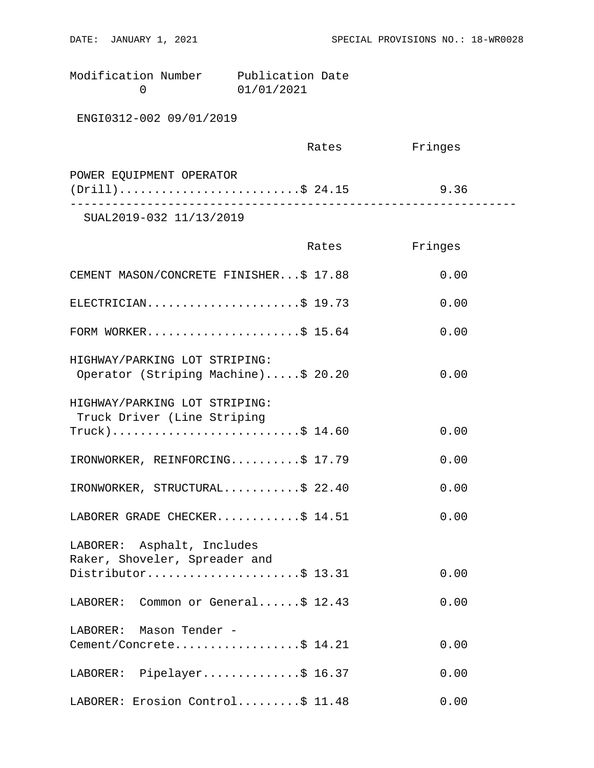Modification Number Publication Date 0 01/01/2021

ENGI0312-002 09/01/2019

|                          | Rates | Fringes |
|--------------------------|-------|---------|
| POWER EQUIPMENT OPERATOR |       |         |
| $(Drill)$ \$ 24.15       |       | 9.36    |
|                          |       |         |

SUAL2019-032 11/13/2019

|                                                                                    | Rates | Fringes |
|------------------------------------------------------------------------------------|-------|---------|
| CEMENT MASON/CONCRETE FINISHER\$ 17.88                                             |       | 0.00    |
| ELECTRICIAN\$ 19.73                                                                |       | 0.00    |
| FORM WORKER\$ 15.64                                                                |       | 0.00    |
| HIGHWAY/PARKING LOT STRIPING:<br>Operator (Striping Machine)\$ 20.20               |       | 0.00    |
| HIGHWAY/PARKING LOT STRIPING:<br>Truck Driver (Line Striping<br>$True k$ )\$ 14.60 |       | 0.00    |
| IRONWORKER, REINFORCING\$ 17.79                                                    |       | 0.00    |
| IRONWORKER, STRUCTURAL\$ 22.40                                                     |       | 0.00    |
| LABORER GRADE CHECKER\$ 14.51                                                      |       | 0.00    |
| LABORER: Asphalt, Includes<br>Raker, Shoveler, Spreader and<br>Distributor\$ 13.31 |       | 0.00    |
| LABORER: Common or General\$ 12.43                                                 |       | 0.00    |
| LABORER: Mason Tender -<br>Cement/Concrete\$ 14.21                                 |       | 0.00    |
| LABORER: Pipelayer\$ 16.37                                                         |       | 0.00    |
| LABORER: Erosion Control\$ 11.48                                                   |       | 0.00    |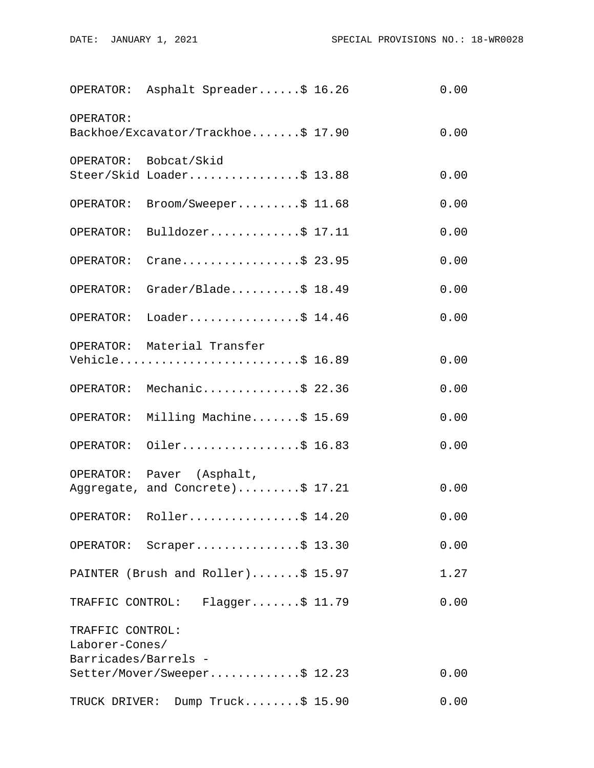|                                    | OPERATOR: Asphalt Spreader\$ 16.26                            | 0.00 |
|------------------------------------|---------------------------------------------------------------|------|
| OPERATOR:                          | Backhoe/Excavator/Trackhoe\$ 17.90                            | 0.00 |
|                                    | OPERATOR: Bobcat/Skid<br>Steer/Skid Loader\$ 13.88            | 0.00 |
| OPERATOR:                          | Broom/Sweeper\$ 11.68                                         | 0.00 |
|                                    | OPERATOR: Bulldozer\$ 17.11                                   | 0.00 |
| OPERATOR:                          | Crane\$ 23.95                                                 | 0.00 |
| OPERATOR:                          | Grader/Blade\$ 18.49                                          | 0.00 |
| OPERATOR:                          | Loader\$ $14.46$                                              | 0.00 |
|                                    | OPERATOR: Material Transfer<br>Vehicle\$ 16.89                | 0.00 |
|                                    | OPERATOR: Mechanic\$ 22.36                                    | 0.00 |
|                                    | OPERATOR: Milling Machine\$ 15.69                             | 0.00 |
| OPERATOR:                          | Oiler\$ 16.83                                                 | 0.00 |
|                                    | OPERATOR: Paver (Asphalt,<br>Aggregate, and Concrete)\$ 17.21 | 0.00 |
|                                    | OPERATOR: $Roller$ \$ 14.20                                   | 0.00 |
|                                    | OPERATOR: Scraper\$ 13.30                                     | 0.00 |
|                                    | PAINTER (Brush and Roller)\$ 15.97                            | 1.27 |
|                                    | TRAFFIC CONTROL: Flagger\$ 11.79                              | 0.00 |
| TRAFFIC CONTROL:<br>Laborer-Cones/ |                                                               |      |
| Barricades/Barrels -               | Setter/Mover/Sweeper\$ 12.23                                  | 0.00 |
|                                    | TRUCK DRIVER: Dump Truck\$ 15.90                              | 0.00 |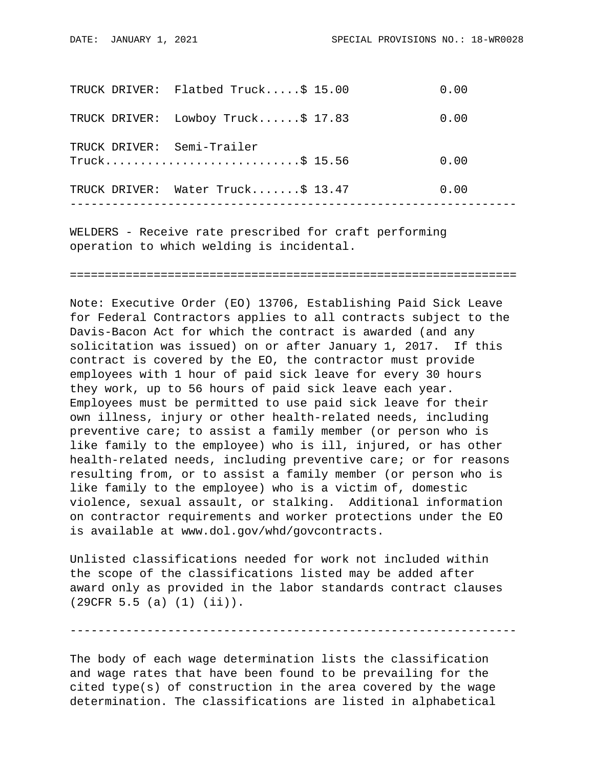|  | TRUCK DRIVER: Flatbed Truck\$ 15.00             | 0.00 |
|--|-------------------------------------------------|------|
|  | TRUCK DRIVER: Lowboy Truck\$ 17.83              | 0.00 |
|  | TRUCK DRIVER: Semi-Trailer<br>$True k$ \$ 15.56 | 0.00 |
|  | TRUCK DRIVER: Water Truck\$ 13.47               | 0.00 |
|  |                                                 |      |

WELDERS - Receive rate prescribed for craft performing operation to which welding is incidental.

================================================================

Note: Executive Order (EO) 13706, Establishing Paid Sick Leave for Federal Contractors applies to all contracts subject to the Davis-Bacon Act for which the contract is awarded (and any solicitation was issued) on or after January 1, 2017. If this contract is covered by the EO, the contractor must provide employees with 1 hour of paid sick leave for every 30 hours they work, up to 56 hours of paid sick leave each year. Employees must be permitted to use paid sick leave for their own illness, injury or other health-related needs, including preventive care; to assist a family member (or person who is like family to the employee) who is ill, injured, or has other health-related needs, including preventive care; or for reasons resulting from, or to assist a family member (or person who is like family to the employee) who is a victim of, domestic violence, sexual assault, or stalking. Additional information on contractor requirements and worker protections under the EO is available at www.dol.gov/whd/govcontracts.

Unlisted classifications needed for work not included within the scope of the classifications listed may be added after award only as provided in the labor standards contract clauses (29CFR 5.5 (a) (1) (ii)).

----------------------------------------------------------------

The body of each wage determination lists the classification and wage rates that have been found to be prevailing for the cited type(s) of construction in the area covered by the wage determination. The classifications are listed in alphabetical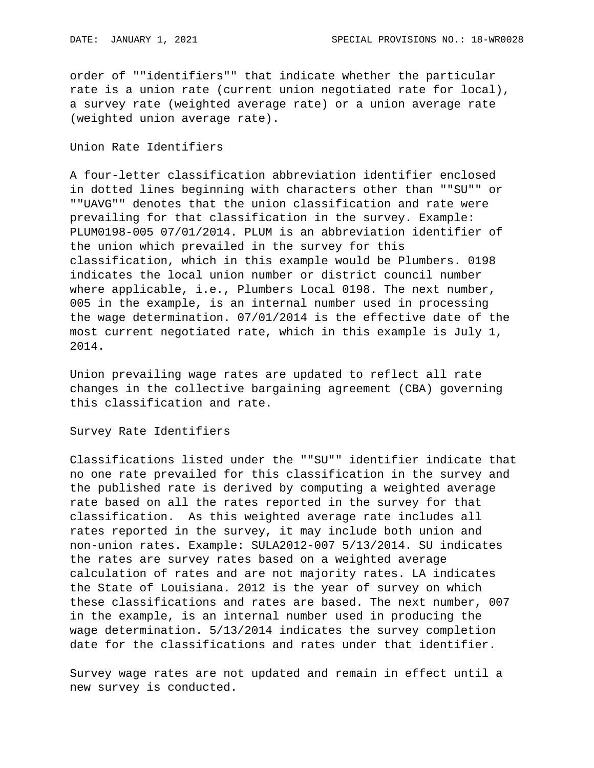order of ""identifiers"" that indicate whether the particular rate is a union rate (current union negotiated rate for local), a survey rate (weighted average rate) or a union average rate (weighted union average rate).

## Union Rate Identifiers

A four-letter classification abbreviation identifier enclosed in dotted lines beginning with characters other than ""SU"" or ""UAVG"" denotes that the union classification and rate were prevailing for that classification in the survey. Example: PLUM0198-005 07/01/2014. PLUM is an abbreviation identifier of the union which prevailed in the survey for this classification, which in this example would be Plumbers. 0198 indicates the local union number or district council number where applicable, i.e., Plumbers Local 0198. The next number, 005 in the example, is an internal number used in processing the wage determination. 07/01/2014 is the effective date of the most current negotiated rate, which in this example is July 1, 2014.

Union prevailing wage rates are updated to reflect all rate changes in the collective bargaining agreement (CBA) governing this classification and rate.

Survey Rate Identifiers

Classifications listed under the ""SU"" identifier indicate that no one rate prevailed for this classification in the survey and the published rate is derived by computing a weighted average rate based on all the rates reported in the survey for that classification. As this weighted average rate includes all rates reported in the survey, it may include both union and non-union rates. Example: SULA2012-007 5/13/2014. SU indicates the rates are survey rates based on a weighted average calculation of rates and are not majority rates. LA indicates the State of Louisiana. 2012 is the year of survey on which these classifications and rates are based. The next number, 007 in the example, is an internal number used in producing the wage determination. 5/13/2014 indicates the survey completion date for the classifications and rates under that identifier.

Survey wage rates are not updated and remain in effect until a new survey is conducted.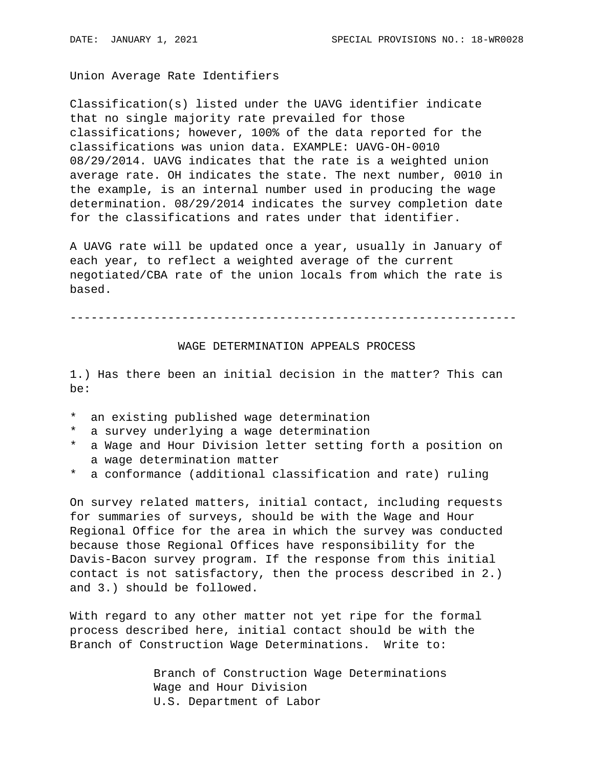Union Average Rate Identifiers

Classification(s) listed under the UAVG identifier indicate that no single majority rate prevailed for those classifications; however, 100% of the data reported for the classifications was union data. EXAMPLE: UAVG-OH-0010 08/29/2014. UAVG indicates that the rate is a weighted union average rate. OH indicates the state. The next number, 0010 in the example, is an internal number used in producing the wage determination. 08/29/2014 indicates the survey completion date for the classifications and rates under that identifier.

A UAVG rate will be updated once a year, usually in January of each year, to reflect a weighted average of the current negotiated/CBA rate of the union locals from which the rate is based.

----------------------------------------------------------------

## WAGE DETERMINATION APPEALS PROCESS

1.) Has there been an initial decision in the matter? This can be:

- \* an existing published wage determination
- \* a survey underlying a wage determination
- a Wage and Hour Division letter setting forth a position on a wage determination matter
- \* a conformance (additional classification and rate) ruling

On survey related matters, initial contact, including requests for summaries of surveys, should be with the Wage and Hour Regional Office for the area in which the survey was conducted because those Regional Offices have responsibility for the Davis-Bacon survey program. If the response from this initial contact is not satisfactory, then the process described in 2.) and 3.) should be followed.

With regard to any other matter not yet ripe for the formal process described here, initial contact should be with the Branch of Construction Wage Determinations. Write to:

> Branch of Construction Wage Determinations Wage and Hour Division U.S. Department of Labor